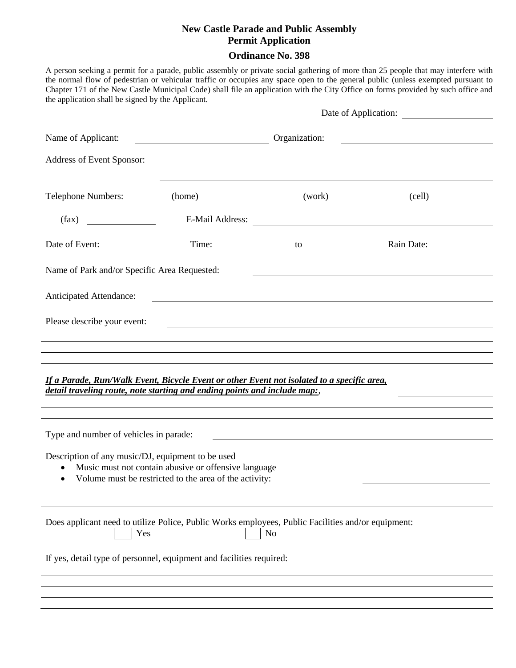# **New Castle Parade and Public Assembly Permit Application**

# **Ordinance No. 398**

A person seeking a permit for a parade, public assembly or private social gathering of more than 25 people that may interfere with the normal flow of pedestrian or vehicular traffic or occupies any space open to the general public (unless exempted pursuant to Chapter 171 of the New Castle Municipal Code) shall file an application with the City Office on forms provided by such office and the application shall be signed by the Applicant.

|                                                                                                                                                                         |                                                 |                                                                                                                                                                                                                                                                                               | Date of Application:                                                                                                   |  |
|-------------------------------------------------------------------------------------------------------------------------------------------------------------------------|-------------------------------------------------|-----------------------------------------------------------------------------------------------------------------------------------------------------------------------------------------------------------------------------------------------------------------------------------------------|------------------------------------------------------------------------------------------------------------------------|--|
| Name of Applicant:                                                                                                                                                      | <u> 1980 - Johann Barbara, martxa alemani</u> a | Organization:                                                                                                                                                                                                                                                                                 | <u> 1980 - Johann Stoff, deutscher Stoffen und der Stoffen und der Stoffen und der Stoffen und der Stoffen und der</u> |  |
| Address of Event Sponsor:                                                                                                                                               |                                                 |                                                                                                                                                                                                                                                                                               |                                                                                                                        |  |
| Telephone Numbers:                                                                                                                                                      |                                                 |                                                                                                                                                                                                                                                                                               |                                                                                                                        |  |
|                                                                                                                                                                         | (home)                                          |                                                                                                                                                                                                                                                                                               | $(work)$ (cell)                                                                                                        |  |
| (fax)                                                                                                                                                                   |                                                 | E-Mail Address:                                                                                                                                                                                                                                                                               |                                                                                                                        |  |
| Date of Event:                                                                                                                                                          | Time:                                           | $\frac{1}{2}$ to $\frac{1}{2}$ to $\frac{1}{2}$ and $\frac{1}{2}$ and $\frac{1}{2}$ and $\frac{1}{2}$ and $\frac{1}{2}$ and $\frac{1}{2}$ and $\frac{1}{2}$ and $\frac{1}{2}$ and $\frac{1}{2}$ and $\frac{1}{2}$ and $\frac{1}{2}$ and $\frac{1}{2}$ and $\frac{1}{2}$ and $\frac{1}{2}$ and | Rain Date:                                                                                                             |  |
| Name of Park and/or Specific Area Requested:                                                                                                                            |                                                 | <u> 1989 - Johann Barbara, marka a shekara tsa 1989 - An tsa 1989 - An tsa 1989 - An tsa 1989 - An tsa 1989 - An</u>                                                                                                                                                                          |                                                                                                                        |  |
| Anticipated Attendance:                                                                                                                                                 |                                                 | <u> 1980 - Johann Barbara, martxa alemaniar argametra (h. 1980).</u>                                                                                                                                                                                                                          |                                                                                                                        |  |
| Please describe your event:                                                                                                                                             |                                                 |                                                                                                                                                                                                                                                                                               |                                                                                                                        |  |
|                                                                                                                                                                         |                                                 | ,我们也不会有什么。""我们的人,我们也不会有什么?""我们的人,我们也不会有什么?""我们的人,我们也不会有什么?""我们的人,我们也不会有什么?""我们的人                                                                                                                                                                                                              |                                                                                                                        |  |
|                                                                                                                                                                         |                                                 |                                                                                                                                                                                                                                                                                               |                                                                                                                        |  |
| If a Parade, Run/Walk Event, Bicycle Event or other Event not isolated to a specific area,<br>detail traveling route, note starting and ending points and include map:, |                                                 |                                                                                                                                                                                                                                                                                               |                                                                                                                        |  |
|                                                                                                                                                                         |                                                 | ,我们也不会有什么?""我们的人,我们也不会有什么?""我们的人,我们也不会有什么?""我们的人,我们也不会有什么?""我们的人,我们也不会有什么?""我们的人                                                                                                                                                                                                              |                                                                                                                        |  |
| Type and number of vehicles in parade:                                                                                                                                  |                                                 | <u> 1989 - Andrea Barbara, poeta espainiar político e a contrar a contrar a contrar a contrar a contra</u>                                                                                                                                                                                    |                                                                                                                        |  |
| Description of any music/DJ, equipment to be used<br>Music must not contain abusive or offensive language<br>Volume must be restricted to the area of the activity:     |                                                 |                                                                                                                                                                                                                                                                                               |                                                                                                                        |  |
|                                                                                                                                                                         |                                                 |                                                                                                                                                                                                                                                                                               |                                                                                                                        |  |
| Does applicant need to utilize Police, Public Works employees, Public Facilities and/or equipment:<br>N <sub>o</sub><br>Yes                                             |                                                 |                                                                                                                                                                                                                                                                                               |                                                                                                                        |  |
| If yes, detail type of personnel, equipment and facilities required:                                                                                                    |                                                 |                                                                                                                                                                                                                                                                                               |                                                                                                                        |  |
|                                                                                                                                                                         |                                                 |                                                                                                                                                                                                                                                                                               |                                                                                                                        |  |
|                                                                                                                                                                         |                                                 |                                                                                                                                                                                                                                                                                               |                                                                                                                        |  |
|                                                                                                                                                                         |                                                 |                                                                                                                                                                                                                                                                                               |                                                                                                                        |  |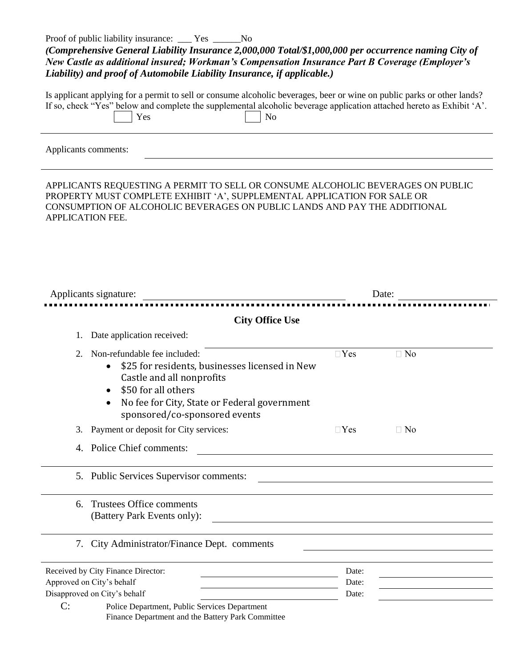Proof of public liability insurance: \_\_\_ Yes \_\_\_\_\_No

| (Comprehensive General Liability Insurance 2,000,000 Total/\$1,000,000 per occurrence naming City of |
|------------------------------------------------------------------------------------------------------|
| New Castle as additional insured; Workman's Compensation Insurance Part B Coverage (Employer's       |
| Liability) and proof of Automobile Liability Insurance, if applicable.)                              |

|     | Is applicant applying for a permit to sell or consume alcoholic beverages, beer or wine on public parks or other lands? |
|-----|-------------------------------------------------------------------------------------------------------------------------|
|     | If so, check "Yes" below and complete the supplemental alcoholic beverage application attached hereto as Exhibit 'A'.   |
| Yes | $\overline{\phantom{1}}$ No                                                                                             |

Applicants comments:

APPLICANTS REQUESTING A PERMIT TO SELL OR CONSUME ALCOHOLIC BEVERAGES ON PUBLIC PROPERTY MUST COMPLETE EXHIBIT 'A', SUPPLEMENTAL APPLICATION FOR SALE OR CONSUMPTION OF ALCOHOLIC BEVERAGES ON PUBLIC LANDS AND PAY THE ADDITIONAL APPLICATION FEE.

| Applicants signature:                                                                                                                                                                                                                  | Date:                   |                                               |  |
|----------------------------------------------------------------------------------------------------------------------------------------------------------------------------------------------------------------------------------------|-------------------------|-----------------------------------------------|--|
|                                                                                                                                                                                                                                        |                         |                                               |  |
| <b>City Office Use</b>                                                                                                                                                                                                                 |                         |                                               |  |
| Date application received:<br>1.                                                                                                                                                                                                       |                         |                                               |  |
| Non-refundable fee included:<br>2.<br>\$25 for residents, businesses licensed in New<br>Castle and all nonprofits<br>\$50 for all others<br>$\bullet$<br>No fee for City, State or Federal government<br>sponsored/co-sponsored events | $\Box$ Yes              | $\Box$ No                                     |  |
| Payment or deposit for City services:<br>3.                                                                                                                                                                                            | $\Box$ Yes              | $\Box$ No                                     |  |
| 4. Police Chief comments:                                                                                                                                                                                                              |                         |                                               |  |
| 5. Public Services Supervisor comments:                                                                                                                                                                                                |                         |                                               |  |
| Trustees Office comments<br>6.<br>(Battery Park Events only):                                                                                                                                                                          |                         | <u> 1980 - Andrea Andrew Maria (h. 1980).</u> |  |
| 7. City Administrator/Finance Dept. comments                                                                                                                                                                                           |                         |                                               |  |
| Received by City Finance Director:<br>Approved on City's behalf<br>Disapproved on City's behalf<br>C:<br>Police Department, Public Services Department                                                                                 | Date:<br>Date:<br>Date: |                                               |  |
| Finance Department and the Battery Park Committee                                                                                                                                                                                      |                         |                                               |  |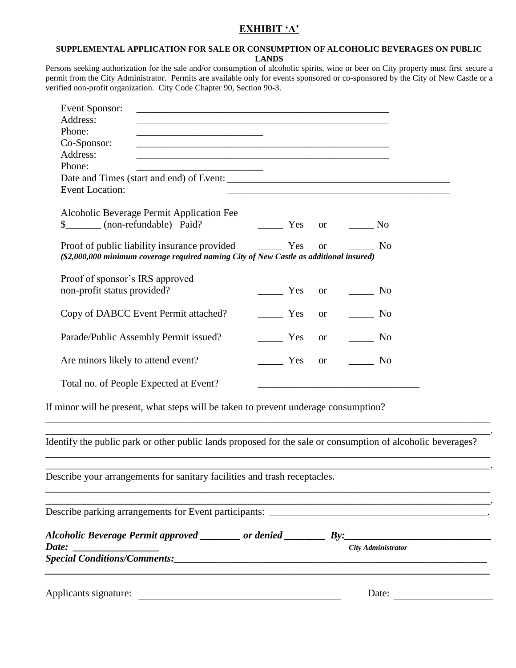# **EXHIBIT 'A'**

#### **SUPPLEMENTAL APPLICATION FOR SALE OR CONSUMPTION OF ALCOHOLIC BEVERAGES ON PUBLIC LANDS**

Persons seeking authorization for the sale and/or consumption of alcoholic spirits, wine or beer on City property must first secure a permit from the City Administrator. Permits are available only for events sponsored or co-sponsored by the City of New Castle or a verified non-profit organization. City Code Chapter 90, Section 90-3.

| Event Sponsor:                                                                                                                 |                     |                                                                                                                                                                                                                                                                                                                                                                                                                                   |  |
|--------------------------------------------------------------------------------------------------------------------------------|---------------------|-----------------------------------------------------------------------------------------------------------------------------------------------------------------------------------------------------------------------------------------------------------------------------------------------------------------------------------------------------------------------------------------------------------------------------------|--|
| Address:                                                                                                                       |                     |                                                                                                                                                                                                                                                                                                                                                                                                                                   |  |
| Phone:<br><u> 1989 - Johann Barbara, martin amerikan basar dan berasal dalam basa dalam basar dalam basar dalam basar dala</u> |                     |                                                                                                                                                                                                                                                                                                                                                                                                                                   |  |
| Co-Sponsor:                                                                                                                    |                     |                                                                                                                                                                                                                                                                                                                                                                                                                                   |  |
| Address:                                                                                                                       |                     |                                                                                                                                                                                                                                                                                                                                                                                                                                   |  |
| Phone:<br>the control of the control of the control of                                                                         |                     |                                                                                                                                                                                                                                                                                                                                                                                                                                   |  |
|                                                                                                                                |                     |                                                                                                                                                                                                                                                                                                                                                                                                                                   |  |
| <b>Event Location:</b>                                                                                                         |                     |                                                                                                                                                                                                                                                                                                                                                                                                                                   |  |
| Alcoholic Beverage Permit Application Fee<br>\$________ (non-refundable) Paid?                                                 |                     | $\frac{1}{\sqrt{1-\frac{1}{\sqrt{1-\frac{1}{\sqrt{1-\frac{1}{\sqrt{1-\frac{1}{\sqrt{1-\frac{1}{\sqrt{1-\frac{1}{\sqrt{1-\frac{1}{\sqrt{1-\frac{1}{\sqrt{1-\frac{1}{\sqrt{1-\frac{1}{\sqrt{1-\frac{1}{\sqrt{1-\frac{1}{\sqrt{1-\frac{1}{\sqrt{1-\frac{1}{\sqrt{1-\frac{1}{\sqrt{1-\frac{1}{\sqrt{1-\frac{1}{\sqrt{1-\frac{1}{\sqrt{1-\frac{1}{\sqrt{1-\frac{1}{\sqrt{1-\frac{1}{\sqrt{1-\frac{1}{\sqrt{1-\frac{1}{\sqrt{1-\frac{1$ |  |
| (\$2,000,000 minimum coverage required naming City of New Castle as additional insured)                                        |                     |                                                                                                                                                                                                                                                                                                                                                                                                                                   |  |
| Proof of sponsor's IRS approved<br>non-profit status provided?                                                                 |                     | Yes or No                                                                                                                                                                                                                                                                                                                                                                                                                         |  |
| Copy of DABCC Event Permit attached?                                                                                           | $\frac{\ }{\ }$ Yes | or $\qquad \qquad$ No                                                                                                                                                                                                                                                                                                                                                                                                             |  |
| Parade/Public Assembly Permit issued?                                                                                          | Yes                 | or $\qquad \qquad$ No                                                                                                                                                                                                                                                                                                                                                                                                             |  |
| Are minors likely to attend event?                                                                                             | Yes                 | or $\qquad \qquad$ No                                                                                                                                                                                                                                                                                                                                                                                                             |  |
| Total no. of People Expected at Event?                                                                                         |                     |                                                                                                                                                                                                                                                                                                                                                                                                                                   |  |
| If minor will be present, what steps will be taken to prevent underage consumption?                                            |                     |                                                                                                                                                                                                                                                                                                                                                                                                                                   |  |

Identify the public park or other public lands proposed for the sale or consumption of alcoholic beverages?

\_\_\_\_\_\_\_\_\_\_\_\_\_\_\_\_\_\_\_\_\_\_\_\_\_\_\_\_\_\_\_\_\_\_\_\_\_\_\_\_\_\_\_\_\_\_\_\_\_\_\_\_\_\_\_\_\_\_\_\_\_\_\_\_\_\_\_\_\_\_\_\_\_\_\_\_\_\_\_\_\_\_\_\_\_\_\_\_ \_\_\_\_\_\_\_\_\_\_\_\_\_\_\_\_\_\_\_\_\_\_\_\_\_\_\_\_\_\_\_\_\_\_\_\_\_\_\_\_\_\_\_\_\_\_\_\_\_\_\_\_\_\_\_\_\_\_\_\_\_\_\_\_\_\_\_\_\_\_\_\_\_\_\_\_\_\_\_\_\_\_\_\_\_\_\_\_.

\_\_\_\_\_\_\_\_\_\_\_\_\_\_\_\_\_\_\_\_\_\_\_\_\_\_\_\_\_\_\_\_\_\_\_\_\_\_\_\_\_\_\_\_\_\_\_\_\_\_\_\_\_\_\_\_\_\_\_\_\_\_\_\_\_\_\_\_\_\_\_\_\_\_\_\_\_\_\_\_\_\_\_\_\_\_\_\_ \_\_\_\_\_\_\_\_\_\_\_\_\_\_\_\_\_\_\_\_\_\_\_\_\_\_\_\_\_\_\_\_\_\_\_\_\_\_\_\_\_\_\_\_\_\_\_\_\_\_\_\_\_\_\_\_\_\_\_\_\_\_\_\_\_\_\_\_\_\_\_\_\_\_\_\_\_\_\_\_\_\_\_\_\_\_\_\_.

\_\_\_\_\_\_\_\_\_\_\_\_\_\_\_\_\_\_\_\_\_\_\_\_\_\_\_\_\_\_\_\_\_\_\_\_\_\_\_\_\_\_\_\_\_\_\_\_\_\_\_\_\_\_\_\_\_\_\_\_\_\_\_\_\_\_\_\_\_\_\_\_\_\_\_\_\_\_\_\_\_\_\_\_\_\_\_\_

Describe your arrangements for sanitary facilities and trash receptacles.

| Alcoholic Beverage Permit approved _________ or denied ____________ By: |                           |  |
|-------------------------------------------------------------------------|---------------------------|--|
|                                                                         | <b>City Administrator</b> |  |
| Special Conditions/Comments:                                            |                           |  |

Applicants signature: Date: